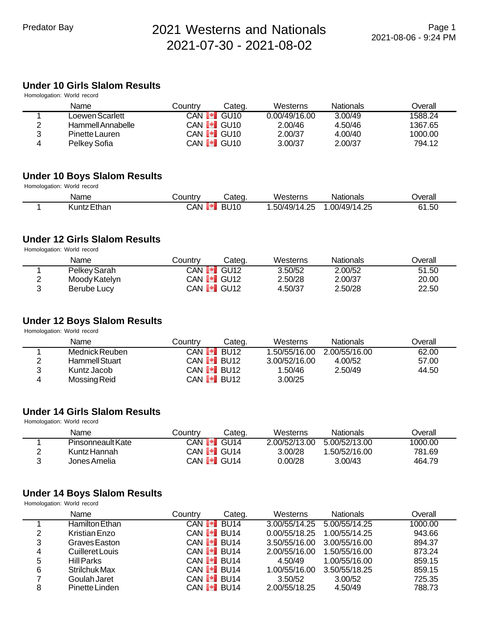## **Under 10 Girls Slalom Results**

|   | Homologation: World record |         |                                |               |                  |         |
|---|----------------------------|---------|--------------------------------|---------------|------------------|---------|
|   | Name                       | Countrv | Categ.                         | Westerns      | <b>Nationals</b> | Overall |
|   | Loewen Scarlett            |         | CAN $\blacksquare$ GU10        | 0.00/49/16.00 | 3.00/49          | 1588.24 |
| 2 | Hammell Annabelle          |         | CAN <b>I<sup>⊌</sup>I</b> GU10 | 2.00/46       | 4.50/46          | 1367.65 |
| 3 | Pinette Lauren             |         | CAN <b>I</b> GU <sub>10</sub>  | 2.00/37       | 4.00/40          | 1000.00 |
| 4 | Pelkey Sofia               |         | CAN <b>I</b> GU10              | 3.00/37       | 2.00/37          | 794.12  |

#### **Under 10 Boys Slalom Results**

Homologation: World record

| Name        | Country  | ′Cateq.     | Westerns                           | Nationals    | Jverall |
|-------------|----------|-------------|------------------------------------|--------------|---------|
| Kuntz Ethan | CAN<br>ш | <b>BU10</b> | .50/49/1<br>つら<br>$\Delta$<br>1.ZJ | .00/49/14.25 | 61.50   |

#### **Under 12 Girls Slalom Results**

Homologation: World record

| Name          | Countrv | Categ.                         | Westerns | Nationals | <b>Dverall</b> |
|---------------|---------|--------------------------------|----------|-----------|----------------|
| Pelkey Sarah  |         | CAN <b>I<sup>⊌</sup>I</b> GU12 | 3.50/52  | 2.00/52   | 51.50          |
| Moody Katelyn |         | CAN <b>I<sup>+</sup>I</b> GU12 | 2.50/28  | 2.00/37   | 20.00          |
| Berube Lucy   |         | CAN <b>I<sup>•</sup>I</b> GU12 | 4.50/37  | 2.50/28   | 22.50          |

#### **Under 12 Boys Slalom Results**

Homologation: World record

|   | Name                  | Countrv | Categ.                  | Westerns      | Nationals     | Overall |
|---|-----------------------|---------|-------------------------|---------------|---------------|---------|
|   | Mednick Reuben        |         | CAN $\blacksquare$ BU12 | 1.50/55/16.00 | 2.00/55/16.00 | 62.00   |
|   | <b>Hammell Stuart</b> |         | CAN $\blacksquare$ BU12 | 3.00/52/16.00 | 4.00/52       | 57.00   |
| 2 | Kuntz Jacob           |         | CAN <b>I</b> BU12       | 1.50/46       | 2.50/49       | 44.50   |
|   | Mossing Reid          |         | CAN <b>I</b> BU12       | 3.00/25       |               |         |

#### **Under 14 Girls Slalom Results**

Homologation: World record

| Name              | Country | Categ.                         | Westerns      | <b>Nationals</b> | Overall |
|-------------------|---------|--------------------------------|---------------|------------------|---------|
| Pinsonneault Kate |         | CAN I <sup>∎</sup> I GU14      | 2.00/52/13.00 | 5.00/52/13.00    | 1000.00 |
| Kuntz Hannah      |         | CAN <b>I.</b> GU14             | 3.00/28       | 1.50/52/16.00    | 781.69  |
| Jones Amelia      |         | CAN <b>I<sup>⊪</sup>I</b> GU14 | 0.00/28       | 3.00/43          | 464.79  |

#### **Under 14 Boys Slalom Results**

Homologation: World record

|   | Name              | Country                                | Categ.      | Westerns      | <b>Nationals</b> | Overall |
|---|-------------------|----------------------------------------|-------------|---------------|------------------|---------|
|   | Hamilton Ethan    | CAN <b>[≁]</b>                         | <b>BU14</b> | 3.00/55/14.25 | 5.00/55/14.25    | 1000.00 |
| 2 | Kristian Enzo     | CAN <b>I</b> BU14                      |             | 0.00/55/18.25 | 1.00/55/14.25    | 943.66  |
| 3 | Graves Easton     | CAN <b>I</b> BU14                      |             | 3.50/55/16.00 | 3.00/55/16.00    | 894.37  |
| 4 | Cuilleret Louis   | CAN <b>I</b> BU14                      |             | 2.00/55/16.00 | 1.50/55/16.00    | 873.24  |
| 5 | <b>Hill Parks</b> | CAN <b>I</b> BU14                      |             | 4.50/49       | 1.00/55/16.00    | 859.15  |
| 6 | Strilchuk Max     | CAN <b>I</b> BU14                      |             | 1.00/55/16.00 | 3.50/55/18.25    | 859.15  |
|   | Goulah Jaret      | CAN $\llbracket \cdot \rrbracket$ BU14 |             | 3.50/52       | 3.00/52          | 725.35  |
| 8 | Pinette Linden    | CAN <b>I</b> <sup>-</sup> I BU14       |             | 2.00/55/18.25 | 4.50/49          | 788.73  |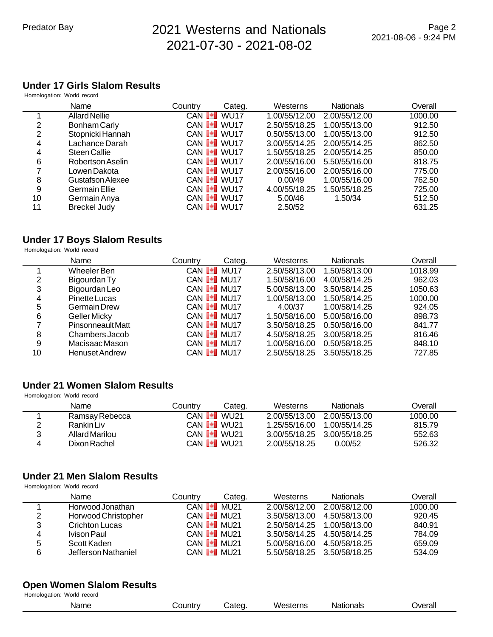## **Under 17 Girls Slalom Results**

| Homologation: World record |                      |                                  |        |               |                  |         |
|----------------------------|----------------------|----------------------------------|--------|---------------|------------------|---------|
|                            | Name                 | Country                          | Categ. | Westerns      | <b>Nationals</b> | Overall |
|                            | <b>Allard Nellie</b> | CAN <b>I</b> WU17                |        | 1.00/55/12.00 | 2.00/55/12.00    | 1000.00 |
| 2                          | Bonham Carly         | CAN <b>I</b> WU17                |        | 2.50/55/18.25 | 1.00/55/13.00    | 912.50  |
| 2                          | Stopnicki Hannah     | CAN <b>I</b> WU17                |        | 0.50/55/13.00 | 1.00/55/13.00    | 912.50  |
| 4                          | Lachance Darah       | CAN <b>I</b> WU17                |        | 3.00/55/14.25 | 2.00/55/14.25    | 862.50  |
| 4                          | <b>Steen Callie</b>  | CAN VU17                         |        | 1.50/55/18.25 | 2.00/55/14.25    | 850.00  |
| 6                          | Robertson Aselin     | CAN <b>I</b> <sup>-</sup> I WU17 |        | 2.00/55/16.00 | 5.50/55/16.00    | 818.75  |
|                            | Lowen Dakota         | CAN <b>I</b> WU17                |        | 2.00/55/16.00 | 2.00/55/16.00    | 775.00  |
| 8                          | Gustafson Alexee     | CAN <b>I</b> WU17                |        | 0.00/49       | 1.00/55/16.00    | 762.50  |
| 9                          | Germain Ellie        | CAN <b>I</b> WU17                |        | 4.00/55/18.25 | 1.50/55/18.25    | 725.00  |
| 10                         | Germain Anya         | CAN <b>I</b> WU17                |        | 5.00/46       | 1.50/34          | 512.50  |
| 11                         | <b>Breckel Judy</b>  | CAN <b>I</b> WU17                |        | 2.50/52       |                  | 631.25  |

#### **Under 17 Boys Slalom Results**

Homologation: World record

|    | Name                  | Country        | Categ.                         | Westerns      | <b>Nationals</b> | Overall |
|----|-----------------------|----------------|--------------------------------|---------------|------------------|---------|
|    | Wheeler Ben           | CAN <b>[*]</b> | <b>MU17</b>                    | 2.50/58/13.00 | 1.50/58/13.00    | 1018.99 |
| 2  | Bigourdan Ty          |                | CAN <b>I-I</b> MU17            | 1.50/58/16.00 | 4.00/58/14.25    | 962.03  |
| 3  | Bigourdan Leo         |                | CAN <b>I</b> MU17              | 5.00/58/13.00 | 3.50/58/14.25    | 1050.63 |
| 4  | Pinette Lucas         |                | CAN <b>I<sup>+</sup>I</b> MU17 | 1.00/58/13.00 | 1.50/58/14.25    | 1000.00 |
| 5  | <b>Germain Drew</b>   |                | CAN <b>I</b> I MU17            | 4.00/37       | 1.00/58/14.25    | 924.05  |
| 6  | Geller Micky          |                | CAN I <sup>I</sup> MU17        | 1.50/58/16.00 | 5.00/58/16.00    | 898.73  |
|    | Pinsonneault Matt     |                | CAN <b>I</b> MU17              | 3.50/58/18.25 | 0.50/58/16.00    | 841.77  |
| 8  | Chambers Jacob        |                | CAN <b>I</b> MU17              | 4.50/58/18.25 | 3.00/58/18.25    | 816.46  |
| 9  | Macisaac Mason        |                | CAN <b>I</b> MU17              | 1.00/58/16.00 | 0.50/58/18.25    | 848.10  |
| 10 | <b>Henuset Andrew</b> |                | CAN <b>I</b> I MU17            | 2.50/55/18.25 | 3.50/55/18.25    | 727.85  |

#### **Under 21 Women Slalom Results** Homologation: World record

|   | Name           | Countrv           | Categ. | Westerns                    | <b>Nationals</b> | Overall |
|---|----------------|-------------------|--------|-----------------------------|------------------|---------|
|   | Ramsay Rebecca | CAN <b>I</b> WU21 |        | 2.00/55/13.00               | 2.00/55/13.00    | 1000.00 |
|   | Rankin Liv     | CAN <b>I</b> WU21 |        | 1.25/55/16.00               | 1.00/55/14.25    | 815.79  |
| 3 | Allard Marilou | CAN <b>I</b> WU21 |        | 3.00/55/18.25 3.00/55/18.25 |                  | 552.63  |
| 4 | Dixon Rachel   | CAN <b>I</b> WU21 |        | 2.00/55/18.25               | 0.00/52          | 526.32  |
|   |                |                   |        |                             |                  |         |

#### **Under 21 Men Slalom Results**

Homologation: World record

Homologation: World record

|   | Name                | Country           | Categ.              | Westerns                    | <b>Nationals</b>            | Overall |
|---|---------------------|-------------------|---------------------|-----------------------------|-----------------------------|---------|
|   | Horwood Jonathan    | CAN <b>[*]</b>    | MU21                | 2.00/58/12.00               | 2.00/58/12.00               | 1000.00 |
| 2 | Horwood Christopher | CAN <b>I</b> MU21 |                     | 3.50/58/13.00               | 4.50/58/13.00               | 920.45  |
| 3 | Crichton Lucas      |                   | CAN <b>I-I</b> MU21 | 2.50/58/14.25 1.00/58/13.00 |                             | 840.91  |
| 4 | Ivison Paul         |                   | CAN <b>I</b> MU21   | 3.50/58/14.25 4.50/58/14.25 |                             | 784.09  |
| 5 | Scott Kaden         |                   | CAN <b>I</b> MU21   | 5.00/58/16.00               | 4.50/58/18.25               | 659.09  |
| 6 | Jefferson Nathaniel |                   | CAN <b>I MU21</b>   |                             | 5.50/58/18.25 3.50/58/18.25 | 534.09  |

#### **Open Women Slalom Results**

| Name | $\sim$ 10 <sup>tr</sup><br>ш | $\sim$<br>$\sim$<br>÷. | ۱Λ<br>eterne<br>sier<br>. . | Nationals | Jverall |
|------|------------------------------|------------------------|-----------------------------|-----------|---------|
|      |                              |                        |                             |           |         |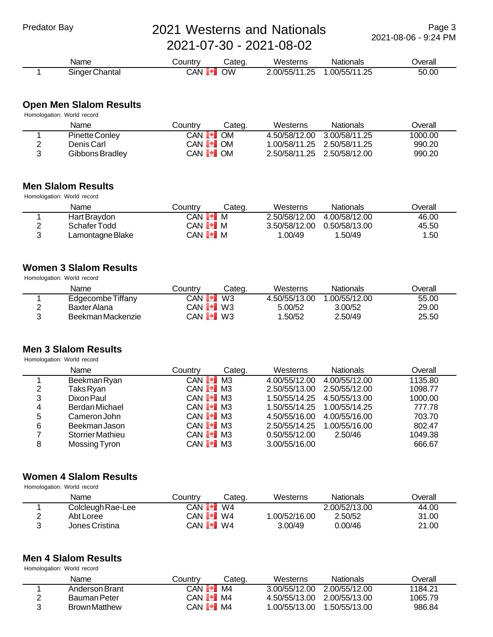Name Country Categ. Westerns Nationals Overall 1 Singer Chantal CAN 0 0W 2.00/55/11.25 1.00/55/11.25 50.00

#### **Open Men Slalom Results**

|   | Homologation: World record |                                |        |                             |                             |         |
|---|----------------------------|--------------------------------|--------|-----------------------------|-----------------------------|---------|
|   | Name                       | Country                        | Categ. | Westerns                    | <b>Nationals</b>            | Overall |
|   | Pinette Conley             | CAN <b>I</b> OM                |        | 4.50/58/12.00               | 3.00/58/11.25               | 1000.00 |
| 2 | Denis Carl                 | CAN <b>I</b> <sup>-</sup> I OM |        |                             | 1.00/58/11.25 2.50/58/11.25 | 990.20  |
| 2 | Gibbons Bradley            | CAN <b>[+]</b> OM              |        | 2.50/58/11.25 2.50/58/12.00 |                             | 990.20  |

#### **Men Slalom Results**

| Homologation: World record |                  |                             |        |               |                  |         |  |  |  |
|----------------------------|------------------|-----------------------------|--------|---------------|------------------|---------|--|--|--|
|                            | Name             | Countrv                     | Cateɑ. | Westerns      | <b>Nationals</b> | Overall |  |  |  |
|                            | Hart Braydon     | CAN <b>I<sup>+</sup>I</b> M |        | 2.50/58/12.00 | 4.00/58/12.00    | 46.00   |  |  |  |
| ◠                          | Schafer Todd     | CAN <b>[+]</b> M            |        | 3.50/58/12.00 | 0.50/58/13.00    | 45.50   |  |  |  |
| 2                          | Lamontagne Blake | CAN <b>I</b> IM             |        | 1.00/49       | 1.50/49          | 1.50    |  |  |  |

#### **Women 3 Slalom Results**

Homologation: World record

| Name              | Countrv                | Categ. | Westerns      | Nationals     | <b>Dverall</b> |
|-------------------|------------------------|--------|---------------|---------------|----------------|
| Edgecombe Tiffany | CAN <b>[*]</b>         | W3     | 4.50/55/13.00 | 1.00/55/12.00 | 55.00          |
| Baxter Alana      | CAN D <sup>∎</sup> IW3 |        | 5.00/52       | 3.00/52       | 29.00          |
| Beekman Mackenzie | $CAN$ $\bullet$ W3     |        | .50/52        | 2.50/49       | 25.50          |

## **Men 3 Slalom Results**

Homologation: World record

|   | Name                    | Countrv                      | Categ. | Westerns      | <b>Nationals</b>            | Overall |
|---|-------------------------|------------------------------|--------|---------------|-----------------------------|---------|
|   | Beekman Ryan            | CAN $\blacksquare$ M3        |        | 4.00/55/12.00 | 4.00/55/12.00               | 1135.80 |
| 2 | Taks Ryan               | CAN <b>I</b> I M3            |        | 2.50/55/13.00 | 2.50/55/12.00               | 1098.77 |
| 3 | Dixon Paul              | CAN <b>I</b> <sup>I</sup> M3 |        |               | 1.50/55/14.25 4.50/55/13.00 | 1000.00 |
| 4 | Berdan Michael          | CAN <b>I</b> M3              |        |               |                             | 777.78  |
| 5 | Cameron John            | CAN <b>I</b> M3              |        | 4.50/55/16.00 | 4.00/55/16.00               | 703.70  |
| 6 | Beekman Jason           | CAN <b>I</b> M3              |        | 2.50/55/14.25 | 1.00/55/16.00               | 802.47  |
|   | <b>Storrier Mathieu</b> | CAN <b>I</b> I M3            |        | 0.50/55/12.00 | 2.50/46                     | 1049.38 |
| 8 | Mossing Tyron           | CAN <b>I</b> M3              |        | 3.00/55/16.00 |                             | 666.67  |

#### **Women 4 Slalom Results**

Homologation: World record

|   | Name              | Country                | Cateɑ. | Westerns     | Nationals     | Overall |
|---|-------------------|------------------------|--------|--------------|---------------|---------|
|   | Colcleugh Rae-Lee | CAN <b>I∙I</b>         | W4     |              | 2.00/52/13.00 | 44.00   |
| ⌒ | Abt Loree         | CAN D <sup>∎</sup> IW4 |        | .00/52/16.00 | 2.50/52       | 31.00   |
| ≏ | Jones Cristina    | CAN <b>I *I</b> W4     |        | 3.00/49      | 0.00/46       | 21.00   |

#### **Men 4 Slalom Results** Homologation: World record

|   | Name                 | Countrv           | Categ. | Westerns                    | <b>Nationals</b> | Overall |
|---|----------------------|-------------------|--------|-----------------------------|------------------|---------|
|   | Anderson Brant       | CAN PI            | MA     | 3.00/55/12.00               | 2.00/55/12.00    | 1184.21 |
|   | Bauman Peter         | $CAN   $ M4       |        | 4.50/55/13.00 2.00/55/13.00 |                  | 1065.79 |
| ર | <b>Brown Matthew</b> | CAN <b>[≁]</b> M4 |        | l.00/55/13.00               | 1.50/55/13.00    | 986.84  |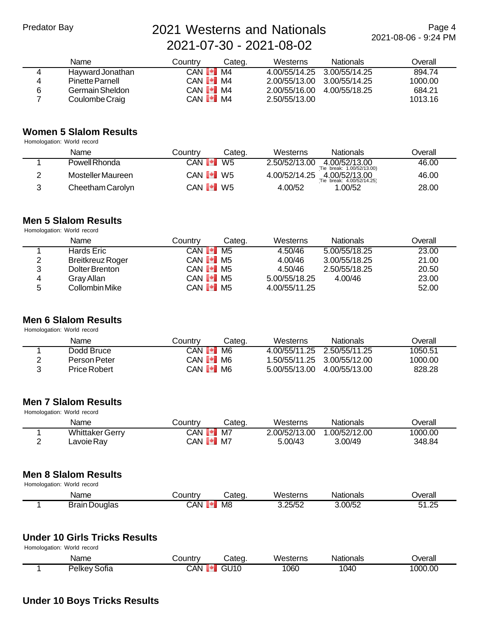Page 4 2021-08-06 - 9:24 PM

|   | Name                   | Country                        | Categ. | Westerns                    | <b>Nationals</b> | Overall |
|---|------------------------|--------------------------------|--------|-----------------------------|------------------|---------|
|   | Hayward Jonathan       | $CAN$ $\blacktriangleright$ M4 |        | 4.00/55/14.25 3.00/55/14.25 |                  | 894.74  |
| 4 | <b>Pinette Parnell</b> | CAN $\blacksquare$ M4          |        | 2.00/55/13.00 3.00/55/14.25 |                  | 1000.00 |
| 6 | Germain Sheldon        | CAN $\blacksquare$ M4          |        | 2.00/55/16.00               | 4.00/55/18.25    | 684.21  |
|   | Coulombe Craig         | $CAN$ $\bullet$ $MA$           |        | 2.50/55/13.00               |                  | 1013.16 |

#### **Women 5 Slalom Results**

Homologation: World record

| Name              | Countrv           | Categ. | Westerns      | <b>Nationals</b>                           | Overall |
|-------------------|-------------------|--------|---------------|--------------------------------------------|---------|
| Powell Rhonda     | CAN PI            | W5     | 2.50/52/13.00 | 4.00/52/13.00<br>Tie break: 1.00/52/13.00) | 46.00   |
| Mosteller Maureen | CAN <b>I•I</b> W5 |        | 4.00/52/14.25 | 4.00/52/13.00<br>Tie break: 4.00/52/14.25) | 46.00   |
| Cheetham Carolyn  | CAN <b>I +</b> W5 |        | 4.00/52       | .00/52                                     | 28.00   |

#### **Men 5 Slalom Results**

Homologation: World record

|   | Name                    | Countrv                                    | Cateɑ. | Westerns      | <b>Nationals</b> | Overall |
|---|-------------------------|--------------------------------------------|--------|---------------|------------------|---------|
|   | Hards Eric              | $CAN$ $\blacktriangleright$ M <sub>5</sub> |        | 4.50/46       | 5.00/55/18.25    | 23.00   |
| 2 | <b>Breitkreuz Roger</b> | CAN <b>I</b> M <sub>5</sub>                |        | 4.00/46       | 3.00/55/18.25    | 21.00   |
| 3 | Dolter Brenton          | CAN $\llbracket \bullet \rrbracket$ M5     |        | 4.50/46       | 2.50/55/18.25    | 20.50   |
| 4 | Gray Allan              | CAN <b>I</b> M <sub>5</sub>                |        | 5.00/55/18.25 | 4.00/46          | 23.00   |
| 5 | Collombin Mike          | CAN <b>I</b> <sup>I</sup> M5               |        | 4.00/55/11.25 |                  | 52.00   |

#### **Men 6 Slalom Results** Homologation: World record

| Name         | Countrv                      | Cateɑ. | Westerns                    | <b>Nationals</b> | Overall |
|--------------|------------------------------|--------|-----------------------------|------------------|---------|
| Dodd Bruce   | CAN PI                       | M6     | 4.00/55/11.25 2.50/55/11.25 |                  | 1050.51 |
| Person Peter | CAN <b>I</b> IM6             |        | 1.50/55/11.25 3.00/55/12.00 |                  | 1000.00 |
| Price Robert | CAN <b>I</b> <sup>I</sup> M6 |        | 5.00/55/13.00               | 4.00/55/13.00    | 828.28  |

#### **Men 7 Slalom Results** Homologation: World record

| Name                   | こountrv           | Categ. | Westerns      | Nationals     | <b>Dverall</b> |
|------------------------|-------------------|--------|---------------|---------------|----------------|
| <b>Whittaker Gerry</b> | CAN <b>∐≁I</b>    | M7     | 2.00/52/13.00 | 1.00/52/12.00 | 1000.00        |
| Lavoie Ray             | CAN <b>[≁]</b> M7 |        | 5.00/43       | 3.00/49       | 348.84         |

#### **Men 8 Slalom Results**

Homologation: World record

| Name                 | こountrv | Categ | Westerns | Nationals | Jverall |
|----------------------|---------|-------|----------|-----------|---------|
| <b>Brain Douglas</b> | CAN     | M8    | 3.25/52  | 3.00/52   | 1.25    |

#### **Under 10 Girls Tricks Results**

Homologation: World record

| Name             | ∠ountr∨    | ;ateα | Westerns | vationals | Jverall |
|------------------|------------|-------|----------|-----------|---------|
| Pelkey'<br>Sotia | <b>CAN</b> | GU10  | 060      | 1040      | 1000.00 |

#### **Under 10 Boys Tricks Results**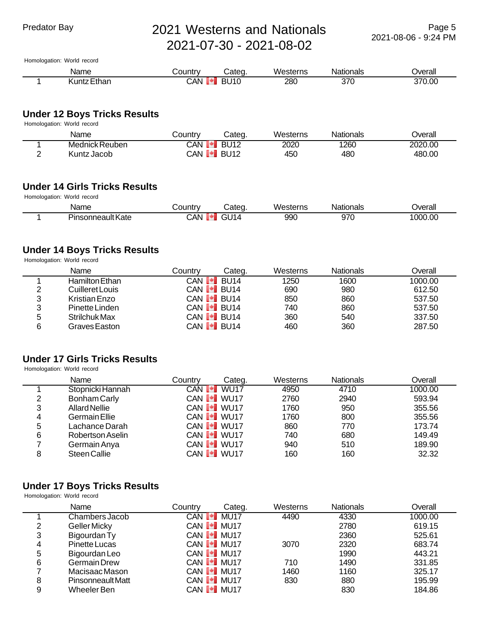Homologation: World record

| Name               | ا ountry∟ | Cateq            | Westerns   | Nationals | Jverall |
|--------------------|-----------|------------------|------------|-----------|---------|
| <b>Kuntz Ethan</b> | CAN       | U10<br><b>RI</b> | <b>280</b> | 370       | 370.00  |

## **Under 12 Boys Tricks Results**

| Homologation: World record |  |  |  |
|----------------------------|--|--|--|
|----------------------------|--|--|--|

| Name           | ountr∨ٽ       | Categ.      | Westerns        | Nationals | ⊃verall |
|----------------|---------------|-------------|-----------------|-----------|---------|
| Mednick Reuben | CAN           | <b>BU12</b> | 2020            | 1260      | 2020.00 |
| Kuntz Jacob    | CAN <b>[*</b> | <b>RU12</b> | 45 <sub>C</sub> | 480       | 480.00  |

#### **Under 14 Girls Tricks Results** Homologation: World record

| <b>THOMOGRAPH</b> TVONG TCCOLG |                   |          |       |          |           |         |
|--------------------------------|-------------------|----------|-------|----------|-----------|---------|
|                                | Name              | ا ountr∨ | Cateɑ | Westerns | Nationals | Jverall |
|                                | Pinsonneault Kate | CAN.     | G1114 | 990      | 970       | 1000.00 |

#### **Under 14 Boys Tricks Results**

Homologation: World record

|   | Name            | Countrv | Categ.              | Westerns | Nationals | Overall |
|---|-----------------|---------|---------------------|----------|-----------|---------|
|   | Hamilton Ethan  |         | CAN <b>I≁I</b> BU14 | 1250     | 1600      | 1000.00 |
| っ | Cuilleret Louis |         | CAN <b>I</b> BU14   | 690      | 980       | 612.50  |
| 3 | Kristian Enzo   |         | CAN <b>I</b> BU14   | 850      | 860       | 537.50  |
| 3 | Pinette Linden  |         | CAN <b>[*]</b> BU14 | 740      | 860       | 537.50  |
| 5 | Strilchuk Max   |         | CAN <b>I</b> BU14   | 360      | 540       | 337.50  |
| 6 | Graves Easton   |         | CAN <b>I</b> BU14   | 460      | 360       | 287.50  |

#### **Under 17 Girls Tricks Results**

Homologation: World record

|   | Name             | Country | Categ.                         | Westerns | <b>Nationals</b> | Overall |
|---|------------------|---------|--------------------------------|----------|------------------|---------|
|   | Stopnicki Hannah |         | CAN <b>I</b> WU17              | 4950     | 4710             | 1000.00 |
| 2 | Bonham Carly     |         | CAN <b>I</b> WU17              | 2760     | 2940             | 593.94  |
| 3 | Allard Nellie    |         | CAN <b>I</b> WU17              | 1760     | 950              | 355.56  |
| 4 | Germain Ellie    |         | CAN <b>I</b> WU17              | 1760     | 800              | 355.56  |
| 5 | Lachance Darah   |         | CAN <b>I<sup>+</sup>I</b> WU17 | 860      | 770              | 173.74  |
| 6 | Robertson Aselin |         | CAN <b>I</b> WU17              | 740      | 680              | 149.49  |
|   | Germain Anya     |         | CAN VU17                       | 940      | 510              | 189.90  |
| 8 | Steen Callie     |         | CAN <b>I</b> WU17              | 160      | 160              | 32.32   |

## **Under 17 Boys Tricks Results**

Homologation: World record

|   | Name                     | Country | Categ.                         | Westerns | <b>Nationals</b> | Overall |
|---|--------------------------|---------|--------------------------------|----------|------------------|---------|
|   | Chambers Jacob           |         | CAN <b>I</b> MU17              | 4490     | 4330             | 1000.00 |
| 2 | <b>Geller Micky</b>      |         | CAN <b>I I</b> MU17            |          | 2780             | 619.15  |
| 3 | Bigourdan Ty             |         | CAN <b>I</b> MU17              |          | 2360             | 525.61  |
| 4 | Pinette Lucas            |         | CAN <b>I</b> MU17              | 3070     | 2320             | 683.74  |
| 5 | Bigourdan Leo            |         | CAN <b>I MU17</b>              |          | 1990             | 443.21  |
| 6 | Germain Drew             |         | CAN <b>I<sup>+</sup>I</b> MU17 | 710      | 1490             | 331.85  |
|   | Macisaac Mason           |         | CAN <b>I MU17</b>              | 1460     | 1160             | 325.17  |
| 8 | <b>Pinsonneault Matt</b> |         | CAN <b>I</b> MU17              | 830      | 880              | 195.99  |
| 9 | Wheeler Ben              |         | CAN <b>I MU17</b>              |          | 830              | 184.86  |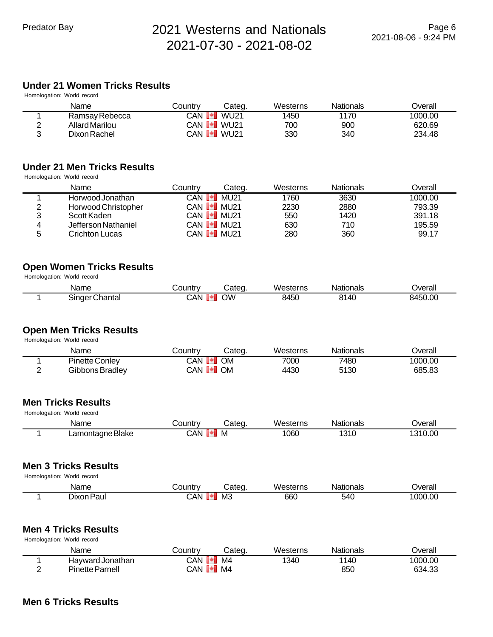## **Under 21 Women Tricks Results**

|   | Homologation: World record |         |                                |          |                  |         |
|---|----------------------------|---------|--------------------------------|----------|------------------|---------|
|   | Name                       | Countrv | Cateɑ.                         | Westerns | <b>Nationals</b> | Overall |
|   | Ramsay Rebecca             | CAN PI  | WU 21                          | 1450     | 1170             | 1000.00 |
| ◠ | Allard Marilou             |         | CAN <b>I</b> WU21              | 700      | 900              | 620.69  |
| ົ | Dixon Rachel               |         | CAN <b>I<sup>+</sup>I</b> WU21 | 330      | 340              | 234.48  |

#### **Under 21 Men Tricks Results**

Homologation: World record

|   | Name                | Countrv                     | Categ.              | Westerns | <b>Nationals</b> | Overall |
|---|---------------------|-----------------------------|---------------------|----------|------------------|---------|
|   | Horwood Jonathan    | CAN <b>I</b> <sup>+</sup> I | MU 21               | 1760     | 3630             | 1000.00 |
| 2 | Horwood Christopher |                             | CAN <b>I I</b> MU21 | 2230     | 2880             | 793.39  |
| 3 | Scott Kaden         |                             | CAN <b>I I</b> MU21 | 550      | 1420             | 391.18  |
| 4 | Jefferson Nathaniel |                             | CAN <b>I I</b> MU21 | 630      | 710              | 195.59  |
| 5 | Crichton Lucas      |                             | CAN <b>I I</b> MU21 | 280      | 360              | 99.17   |

#### **Open Women Tricks Results** Homologation: World record

| Name           | Jountr∨  | കateq | Westerns | Nationals | Jverall |
|----------------|----------|-------|----------|-----------|---------|
| Singer Chantal | CAN<br>m | OW    | 8450     | 8140      | 8450.00 |

#### **Open Men Tricks Results**

Homologation: World record

| Name                  | こountrv            | Categ.    | Westerns | Nationals | Jverall |
|-----------------------|--------------------|-----------|----------|-----------|---------|
| <b>Pinette Conley</b> | CAN <b>[≁]</b>     | <b>OM</b> | 7000     | 7480      | 1000.00 |
| Gibbons Bradley       | CAN <b>I *I</b> OM |           | 4430     | 5130      | 685.83  |

#### **Men Tricks Results**

| Homologation: World record |                  |                |        |          |                  |         |  |  |
|----------------------------|------------------|----------------|--------|----------|------------------|---------|--|--|
|                            | Name             | こountrv        | Categ. | Westerns | <b>Nationals</b> | Dverall |  |  |
|                            | Lamontagne Blake | CAN <b>[*]</b> | M      | 1060     | 1310             | 1310.00 |  |  |

#### **Men 3 Tricks Results**

Homologation: World record

| .              |         |       |          |           |         |
|----------------|---------|-------|----------|-----------|---------|
| Name           | `ountrv | ;ateq | Westerns | Nationals | Jverall |
| ⊦Paul<br>Jixon | `.AN    | MЗ    | 660      | 540       | 1000.00 |

#### **Men 4 Tricks Results**

Homologation: World record

| Name                   | ∟ountr∨                      | Cated | Westerns | <b>Nationals</b> | Jverall |
|------------------------|------------------------------|-------|----------|------------------|---------|
| Havward Jonathan       | CAN.                         | M4    | 1340     | 1140             | 1000.00 |
| <b>Pinette Parnell</b> | CAN <b>I<sup>+</sup>I</b> M4 |       |          | 850              | 634.33  |

#### **Men 6 Tricks Results**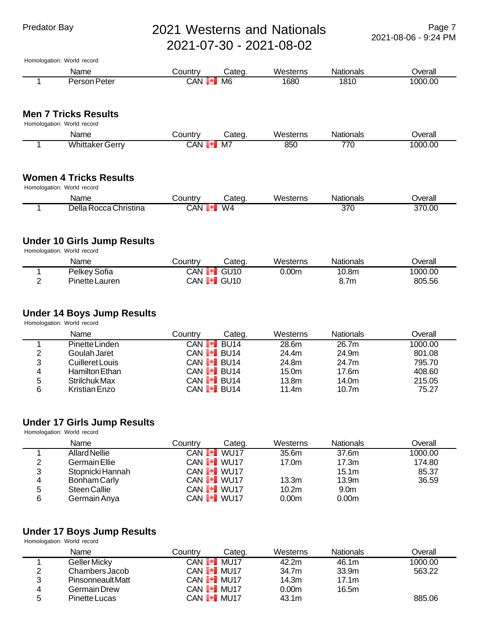Homologation: World record Name Country Categ. Westerns Nationals Overall 1 Person Peter CAN M6 1680 1810 1000.00

#### **Men 7 Tricks Results**

| Homologation: World record |  |  |  |
|----------------------------|--|--|--|
|----------------------------|--|--|--|

| Name                       | $-1.1$<br>unu | ∴ater | মerns<br>٠л. | Nationals | Jverall     |
|----------------------------|---------------|-------|--------------|-----------|-------------|
| Wŀ<br>. Gern i<br>інк<br>⊷ | `AN           | M,    | QET<br>טע    | --<br>7 U | .00<br>LOOC |

#### **Women 4 Tricks Results**

Homologation: World record

| Name                        | Jountr∖ | Cateq | Westerns<br>. | Vationals | ⊃verall |
|-----------------------------|---------|-------|---------------|-----------|---------|
| Christina<br>Della<br>Rocca | CAN     | W4    |               | 370       | 370.00  |

#### **Under 10 Girls Jump Results**

Homologation: World record

| Name           | ountry∟             | Categ.                         | Westerns | Nationals | Overall |
|----------------|---------------------|--------------------------------|----------|-----------|---------|
| Pelkey Sofia   | CAN<br>$\mathbf{v}$ | GU <sub>10</sub>               | 0.00m    | 10.8m     | 1000.00 |
| Pinette Lauren |                     | CAN <b>I<sup>+</sup>I</b> GU10 |          | 8.7m      | 805.56  |

### **Under 14 Boys Jump Results**

Homologation: World record

|   | Name            | Countrv | Categ.                         | Westerns          | <b>Nationals</b>  | Overall |
|---|-----------------|---------|--------------------------------|-------------------|-------------------|---------|
|   | Pinette Linden  |         | CAN <b>I<sup>⊌</sup>I</b> BU14 | 28.6m             | 26.7m             | 1000.00 |
| っ | Goulah Jaret    |         | CAN <b>I</b> BU14              | 24.4m             | 24.9m             | 801.08  |
| 3 | Cuilleret Louis |         | CAN <b>I</b> BU14              | 24.8m             | 24.7m             | 795.70  |
| 4 | Hamilton Ethan  |         | CAN <b>I<sup>⊌</sup>I</b> BU14 | 15.0 <sub>m</sub> | 17.6m             | 408.60  |
| 5 | Strilchuk Max   |         | CAN <b>I</b> BU14              | 13.8 <sub>m</sub> | 14.0m             | 215.05  |
| 6 | Kristian Enzo   |         | CAN <b>I</b> BU14              | 11.4m             | 10.7 <sub>m</sub> | 75.27   |

#### **Under 17 Girls Jump Results**

Homologation: World record

|   | Name             | Countrv | Categ.                           | Westerns          | <b>Nationals</b>  | Overall |
|---|------------------|---------|----------------------------------|-------------------|-------------------|---------|
|   | Allard Nellie    |         | CAN <b>I</b> WU17                | 35.6m             | 37.6m             | 1000.00 |
| 2 | Germain Ellie    |         | CAN <b>I</b> WU17                | 17.0m             | 17.3m             | 174.80  |
| 3 | Stopnicki Hannah |         | CAN <b>I</b> <sup>-</sup> I WU17 |                   | 15.1 <sub>m</sub> | 85.37   |
| 4 | Bonham Carly     |         | CAN <b>I</b> WU17                | 13.3m             | 13.9m             | 36.59   |
| 5 | Steen Callie     |         | CAN <b>I</b> WU17                | 10.2 <sub>m</sub> | 9.0 <sub>m</sub>  |         |
| 6 | Germain Anya     |         | CAN <b>I</b> WU17                | 0.00 <sub>m</sub> | 0.00 <sub>m</sub> |         |

## **Under 17 Boys Jump Results**

Homologation: World record

|   | Name                     | Countrv | Categ.              | Westerns | <b>Nationals</b> | ⊃verall |
|---|--------------------------|---------|---------------------|----------|------------------|---------|
|   | Geller Micky             | CAN [*] | <b>MU17</b>         | 42.2m    | 46.1m            | 1000.00 |
| 2 | Chambers Jacob           |         | CAN <b>[≁]</b> MU17 | 34.7m    | 33.9m            | 563.22  |
| 3 | <b>Pinsonneault Matt</b> |         | CAN <b>I I</b> MU17 | 14.3m    | 17.1m            |         |
| 4 | Germain Drew             |         | CAN <b>[*]</b> MU17 | 0.00m    | 16.5m            |         |
| b | <b>Pinette Lucas</b>     |         | CAN <b>I I</b> MU17 | 43.1m    |                  | 885.06  |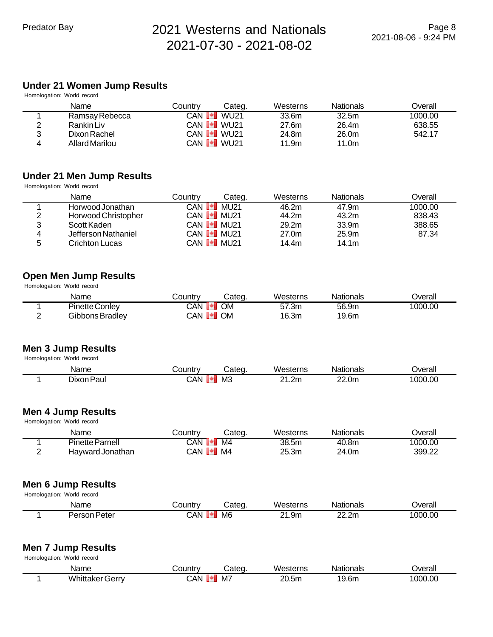## **Under 21 Women Jump Results**

|                | Homologation: World record |         |                   |          |                   |         |
|----------------|----------------------------|---------|-------------------|----------|-------------------|---------|
|                | Name                       | Countrv | Cateɑ.            | Westerns | <b>Nationals</b>  | Overall |
|                | Ramsay Rebecca             | CAN PI  | WU 21             | 33.6m    | 32.5 <sub>m</sub> | 1000.00 |
| $\overline{2}$ | Rankin Liv                 |         | CAN <b>I</b> WU21 | 27.6m    | 26.4m             | 638.55  |
| 3              | Dixon Rachel               |         | CAN <b>I</b> WU21 | 24.8m    | 26.0m             | 542.17  |
| 4              | Allard Marilou             |         | CAN <b>I</b> WU21 | 11.9m    | 11.0m             |         |

#### **Under 21 Men Jump Results**

Homologation: World record

|   | Name                | Countrv | Categ.              | Westerns          | <b>Nationals</b>  | Overall |
|---|---------------------|---------|---------------------|-------------------|-------------------|---------|
|   | Horwood Jonathan    |         | CAN <b>I</b> MU21   | 46.2m             | 47.9m             | 1000.00 |
| 2 | Horwood Christopher |         | CAN <b>I I</b> MU21 | 44.2m             | 43.2m             | 838.43  |
| 3 | Scott Kaden         |         | CAN <b>I</b> I MU21 | 29.2 <sub>m</sub> | 33.9 <sub>m</sub> | 388.65  |
| 4 | Jefferson Nathaniel |         | CAN <b>I I</b> MU21 | 27.0m             | 25.9 <sub>m</sub> | 87.34   |
| 5 | Crichton Lucas      |         | CAN <b>I I</b> MU21 | 14.4m             | 14.1m             |         |

## **Open Men Jump Results**

Homologation: World record

| Name                  | こ0untrv        | Categ.    | Westerns | Nationals | Jverall |
|-----------------------|----------------|-----------|----------|-----------|---------|
| <b>Pinette Conley</b> | CAN.<br>. .    | <b>MC</b> | 57.3m    | 56.9m     | 1000.00 |
| Gibbons Bradley       | CAN <b>[*]</b> | <b>OM</b> | 16.3m    | 19.6m     |         |

#### **Men 3 Jump Results** Homologation: World record

| Name                | ∶ountrv | ateo: | Westerns | Nationals       | <b>T</b> |
|---------------------|---------|-------|----------|-----------------|----------|
| Dixon Paul<br>$  -$ | CAN     | M     | 21.2m    | 22.0m<br>______ | 1000.00  |

#### **Men 4 Jump Results**

| Homologation: World record |                        |                      |        |          |           |         |  |
|----------------------------|------------------------|----------------------|--------|----------|-----------|---------|--|
|                            | Name                   | Countrv              | Categ. | Westerns | Nationals | Dverall |  |
|                            | <b>Pinette Parnell</b> | CAN <b>[*]</b>       | M4     | 38.5m    | 40.8m     | 1000.00 |  |
|                            | Havward Jonathan       | $CAN$ $\bullet$ $MA$ |        | 25.3m    | 24.0m     | 399.22  |  |

### **Men 6 Jump Results**

Homologation: World record

| Name         | ⊃ountr∵<br>ΓV | ;ateq          | Westerns | Nationals                                     | <b>Jverall</b> |
|--------------|---------------|----------------|----------|-----------------------------------------------|----------------|
| Person Peter | ٔ AN.         | M <sub>6</sub> | 21.9m    | nn.<br>$\overline{\phantom{a}}$<br>2m<br>---- | 1000.00        |

#### **Men 7 Jump Results** Homologation: World record

| . | .                      |         |       |          |           |                |
|---|------------------------|---------|-------|----------|-----------|----------------|
|   | Name                   | ¿ountr∨ | Categ | Westerns | Nationals | <b>Dverall</b> |
|   | <b>Whittaker Gerry</b> | CAN     | M7    | 20.5m    | 19.6m     | 1000.00        |